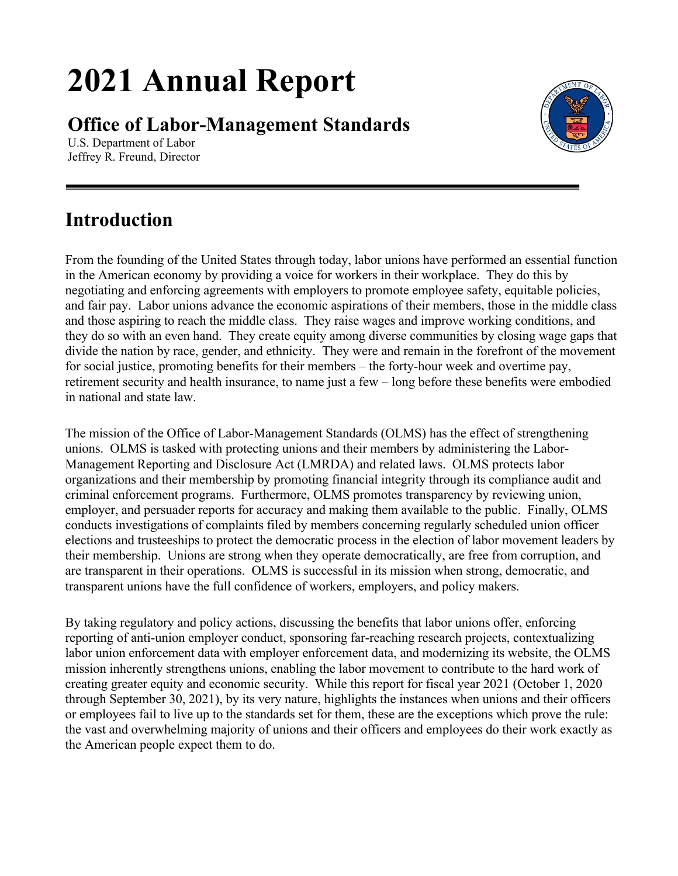# **2021 Annual Report**

**Office of Labor-Management Standards**



U.S. Department of Labor Jeffrey R. Freund, Director

# **Introduction**

From the founding of the United States through today, labor unions have performed an essential function in the American economy by providing a voice for workers in their workplace. They do this by negotiating and enforcing agreements with employers to promote employee safety, equitable policies, and fair pay. Labor unions advance the economic aspirations of their members, those in the middle class and those aspiring to reach the middle class. They raise wages and improve working conditions, and they do so with an even hand. They create equity among diverse communities by closing wage gaps that divide the nation by race, gender, and ethnicity. They were and remain in the forefront of the movement for social justice, promoting benefits for their members – the forty-hour week and overtime pay, retirement security and health insurance, to name just a few – long before these benefits were embodied in national and state law.

The mission of the Office of Labor-Management Standards (OLMS) has the effect of strengthening unions. OLMS is tasked with protecting unions and their members by administering the Labor-Management Reporting and Disclosure Act (LMRDA) and related laws. OLMS protects labor organizations and their membership by promoting financial integrity through its compliance audit and criminal enforcement programs. Furthermore, OLMS promotes transparency by reviewing union, employer, and persuader reports for accuracy and making them available to the public. Finally, OLMS conducts investigations of complaints filed by members concerning regularly scheduled union officer elections and trusteeships to protect the democratic process in the election of labor movement leaders by their membership. Unions are strong when they operate democratically, are free from corruption, and are transparent in their operations. OLMS is successful in its mission when strong, democratic, and transparent unions have the full confidence of workers, employers, and policy makers.

By taking regulatory and policy actions, discussing the benefits that labor unions offer, enforcing reporting of anti-union employer conduct, sponsoring far-reaching research projects, contextualizing labor union enforcement data with employer enforcement data, and modernizing its website, the OLMS mission inherently strengthens unions, enabling the labor movement to contribute to the hard work of creating greater equity and economic security. While this report for fiscal year 2021 (October 1, 2020 through September 30, 2021), by its very nature, highlights the instances when unions and their officers or employees fail to live up to the standards set for them, these are the exceptions which prove the rule: the vast and overwhelming majority of unions and their officers and employees do their work exactly as the American people expect them to do.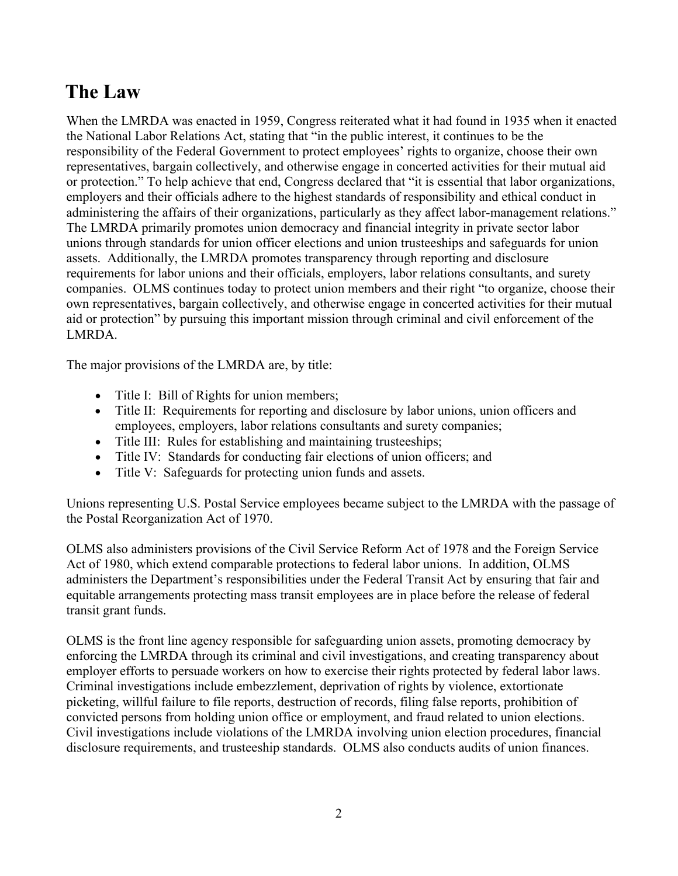# **The Law**

When the LMRDA was enacted in 1959, Congress reiterated what it had found in 1935 when it enacted the National Labor Relations Act, stating that "in the public interest, it continues to be the responsibility of the Federal Government to protect employees' rights to organize, choose their own representatives, bargain collectively, and otherwise engage in concerted activities for their mutual aid or protection." To help achieve that end, Congress declared that "it is essential that labor organizations, employers and their officials adhere to the highest standards of responsibility and ethical conduct in administering the affairs of their organizations, particularly as they affect labor-management relations." The LMRDA primarily promotes union democracy and financial integrity in private sector labor unions through standards for union officer elections and union trusteeships and safeguards for union assets. Additionally, the LMRDA promotes transparency through reporting and disclosure requirements for labor unions and their officials, employers, labor relations consultants, and surety companies. OLMS continues today to protect union members and their right "to organize, choose their own representatives, bargain collectively, and otherwise engage in concerted activities for their mutual aid or protection" by pursuing this important mission through criminal and civil enforcement of the LMRDA.

The major provisions of the LMRDA are, by title:

- Title I: Bill of Rights for union members;
- Title II: Requirements for reporting and disclosure by labor unions, union officers and employees, employers, labor relations consultants and surety companies;
- Title III: Rules for establishing and maintaining trusteeships;
- Title IV: Standards for conducting fair elections of union officers; and
- Title V: Safeguards for protecting union funds and assets.

Unions representing U.S. Postal Service employees became subject to the LMRDA with the passage of the Postal Reorganization Act of 1970.

OLMS also administers provisions of the Civil Service Reform Act of 1978 and the Foreign Service Act of 1980, which extend comparable protections to federal labor unions. In addition, OLMS administers the Department's responsibilities under the Federal Transit Act by ensuring that fair and equitable arrangements protecting mass transit employees are in place before the release of federal transit grant funds.

OLMS is the front line agency responsible for safeguarding union assets, promoting democracy by enforcing the LMRDA through its criminal and civil investigations, and creating transparency about employer efforts to persuade workers on how to exercise their rights protected by federal labor laws. Criminal investigations include embezzlement, deprivation of rights by violence, extortionate picketing, willful failure to file reports, destruction of records, filing false reports, prohibition of convicted persons from holding union office or employment, and fraud related to union elections. Civil investigations include violations of the LMRDA involving union election procedures, financial disclosure requirements, and trusteeship standards. OLMS also conducts audits of union finances.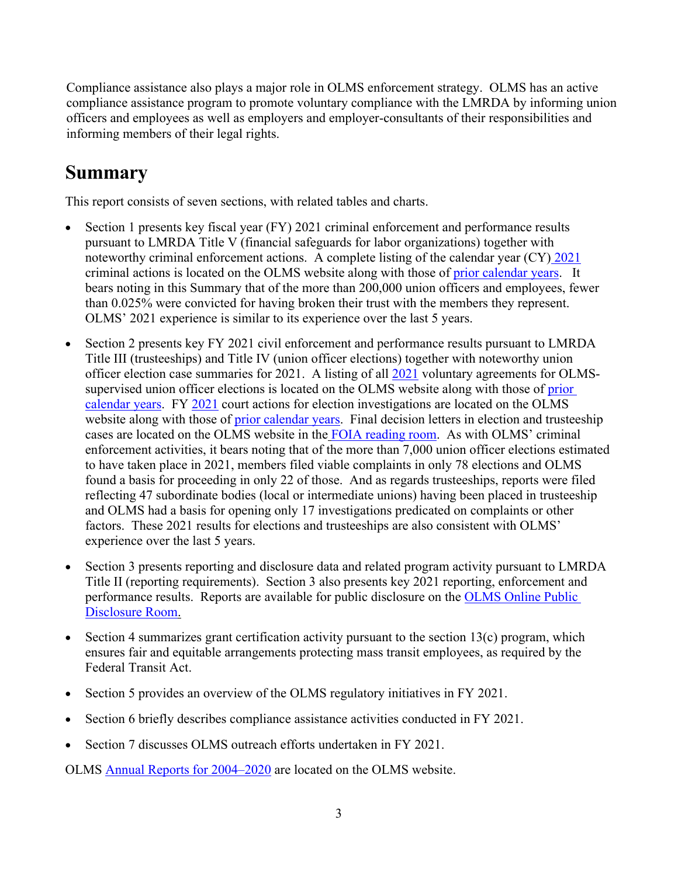Compliance assistance also plays a major role in OLMS enforcement strategy. OLMS has an active compliance assistance program to promote voluntary compliance with the LMRDA by informing union officers and employees as well as employers and employer-consultants of their responsibilities and informing members of their legal rights.

# **Summary**

This report consists of seven sections, with related tables and charts.

- Section 1 presents key fiscal year (FY) 2021 criminal enforcement and performance results pursuant to LMRDA Title V (financial safeguards for labor organizations) together with noteworthy criminal enforcement actions. A complete listing of the calendar year (CY) [2021](https://www.dol.gov/agencies/olms/enforcement/criminal/2021) criminal actions is located on the OLMS website along with those of prior [calendar years.](https://www.dol.gov/agencies/olms/criminal-enforcement) It bears noting in this Summary that of the more than 200,000 union officers and employees, fewer than 0.025% were convicted for having broken their trust with the members they represent. OLMS' 2021 experience is similar to its experience over the last 5 years.
- Section 2 presents key FY 2021 civil enforcement and performance results pursuant to LMRDA Title III (trusteeships) and Title IV (union officer elections) together with noteworthy union officer election case summaries for 2021. A listing of all [2021](https://www.dol.gov/agencies/olms/voluntary-agreements/2021) voluntary agreements for OLMSsupervised union officer elections is located on the OLMS website along with those of [prior](https://www.dol.gov/agencies/olms/civil-enforcement)  [calendar years.](https://www.dol.gov/agencies/olms/civil-enforcement) FY [2021](https://www.dol.gov/agencies/olms/enforcement/civil/2021) court actions for election investigations are located on the OLMS website along with those of [prior calendar years.](https://www.dol.gov/agencies/olms/civil-enforcement) Final decision letters in election and trusteeship cases are located on the OLMS website in the [FOIA reading room.](http://www.dol.gov/olms/regs/compliance/OLMS_FOIA.htm) As with OLMS' criminal enforcement activities, it bears noting that of the more than 7,000 union officer elections estimated to have taken place in 2021, members filed viable complaints in only 78 elections and OLMS found a basis for proceeding in only 22 of those. And as regards trusteeships, reports were filed reflecting 47 subordinate bodies (local or intermediate unions) having been placed in trusteeship and OLMS had a basis for opening only 17 investigations predicated on complaints or other factors. These 2021 results for elections and trusteeships are also consistent with OLMS' experience over the last 5 years.
- Section 3 presents reporting and disclosure data and related program activity pursuant to LMRDA Title II (reporting requirements). Section 3 also presents key 2021 reporting, enforcement and performance results. Reports are available for public disclosure on the [OLMS Online Public](https://www.dol.gov/agencies/olms/public-disclosure-room)  [Disclosure Room.](https://www.dol.gov/agencies/olms/public-disclosure-room)
- Section 4 summarizes grant certification activity pursuant to the section  $13(c)$  program, which ensures fair and equitable arrangements protecting mass transit employees, as required by the Federal Transit Act.
- Section 5 provides an overview of the OLMS regulatory initiatives in FY 2021.
- Section 6 briefly describes compliance assistance activities conducted in FY 2021.
- Section 7 discusses OLMS outreach efforts undertaken in FY 2021.

OLMS [Annual Reports for 2004–2020](https://www.dol.gov/olms/regs/compliance/OLMS_Annual_Reports.htm) are located on the [OLMS website.](http://www.dol.gov/olms/regs/compliance/OLMS_Annual_Reports.htm)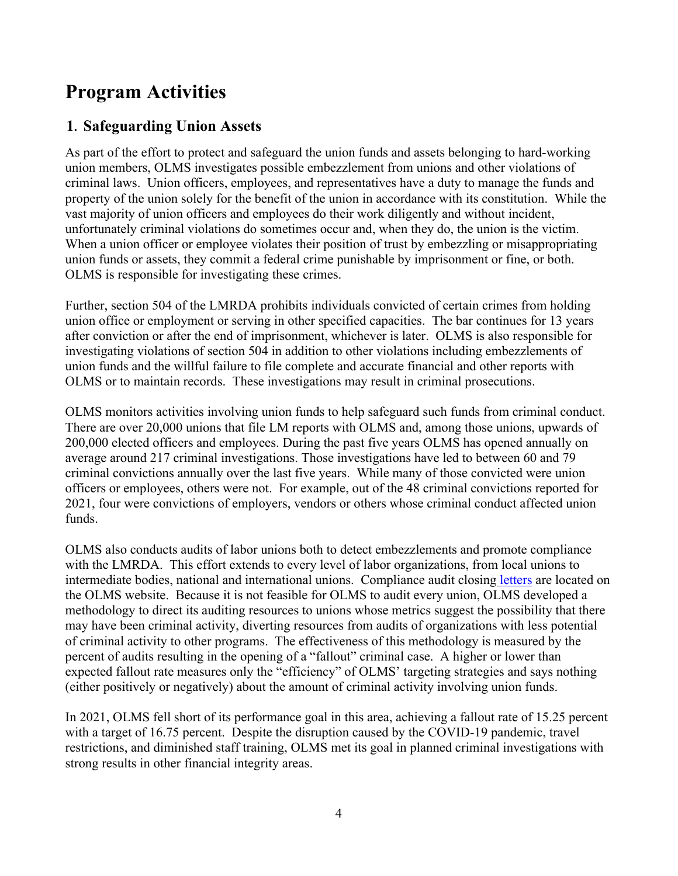# **Program Activities**

# **1. Safeguarding Union Assets**

As part of the effort to protect and safeguard the union funds and assets belonging to hard-working union members, OLMS investigates possible embezzlement from unions and other violations of criminal laws. Union officers, employees, and representatives have a duty to manage the funds and property of the union solely for the benefit of the union in accordance with its constitution. While the vast majority of union officers and employees do their work diligently and without incident, unfortunately criminal violations do sometimes occur and, when they do, the union is the victim. When a union officer or employee violates their position of trust by embezzling or misappropriating union funds or assets, they commit a federal crime punishable by imprisonment or fine, or both. OLMS is responsible for investigating these crimes.

Further, section 504 of the LMRDA prohibits individuals convicted of certain crimes from holding union office or employment or serving in other specified capacities. The bar continues for 13 years after conviction or after the end of imprisonment, whichever is later. OLMS is also responsible for investigating violations of section 504 in addition to other violations including embezzlements of union funds and the willful failure to file complete and accurate financial and other reports with OLMS or to maintain records. These investigations may result in criminal prosecutions.

OLMS monitors activities involving union funds to help safeguard such funds from criminal conduct. There are over 20,000 unions that file LM reports with OLMS and, among those unions, upwards of 200,000 elected officers and employees. During the past five years OLMS has opened annually on average around 217 criminal investigations. Those investigations have led to between 60 and 79 criminal convictions annually over the last five years. While many of those convicted were union officers or employees, others were not. For example, out of the 48 criminal convictions reported for 2021, four were convictions of employers, vendors or others whose criminal conduct affected union funds.

OLMS also conducts audits of labor unions both to detect embezzlements and promote compliance with the LMRDA. This effort extends to every level of labor organizations, from local unions to intermediate bodies, national and international unions. Compliance audit closing [letters](https://www.dol.gov/olms/regs/compliance/CA_closing_letters.htm) are located on the [OLMS website.](http://www.dol.gov/olms/regs/compliance/CA_closing_letters.htm) Because it is not feasible for OLMS to audit every union, OLMS developed a methodology to direct its auditing resources to unions whose metrics suggest the possibility that there may have been criminal activity, diverting resources from audits of organizations with less potential of criminal activity to other programs. The effectiveness of this methodology is measured by the percent of audits resulting in the opening of a "fallout" criminal case. A higher or lower than expected fallout rate measures only the "efficiency" of OLMS' targeting strategies and says nothing (either positively or negatively) about the amount of criminal activity involving union funds.

In 2021, OLMS fell short of its performance goal in this area, achieving a fallout rate of 15.25 percent with a target of 16.75 percent. Despite the disruption caused by the COVID-19 pandemic, travel restrictions, and diminished staff training, OLMS met its goal in planned criminal investigations with strong results in other financial integrity areas.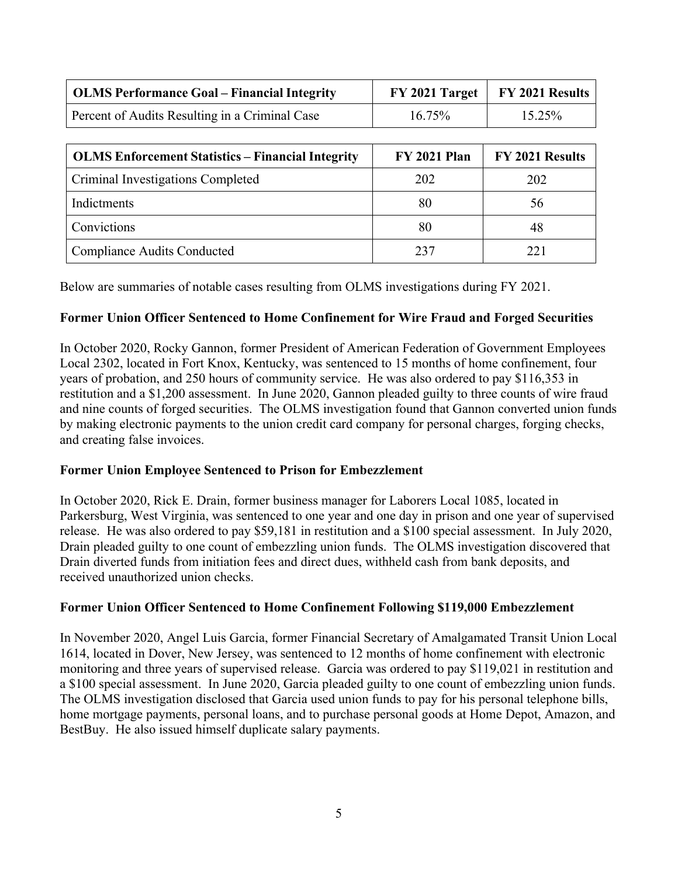| <b>OLMS Performance Goal – Financial Integrity</b> |           | $FY$ 2021 Target   $FY$ 2021 Results |
|----------------------------------------------------|-----------|--------------------------------------|
| Percent of Audits Resulting in a Criminal Case     | $16.75\%$ | 15.25%                               |

| <b>OLMS Enforcement Statistics – Financial Integrity</b> | <b>FY 2021 Plan</b> | FY 2021 Results |
|----------------------------------------------------------|---------------------|-----------------|
| Criminal Investigations Completed                        | 202                 | 202             |
| Indictments                                              | 80                  | 56              |
| Convictions                                              | 80                  | 48              |
| <b>Compliance Audits Conducted</b>                       | 237                 | 221             |

Below are summaries of notable cases resulting from OLMS investigations during FY 2021.

## **Former Union Officer Sentenced to Home Confinement for Wire Fraud and Forged Securities**

In October 2020, Rocky Gannon, former President of American Federation of Government Employees Local 2302, located in Fort Knox, Kentucky, was sentenced to 15 months of home confinement, four years of probation, and 250 hours of community service. He was also ordered to pay \$116,353 in restitution and a \$1,200 assessment. In June 2020, Gannon pleaded guilty to three counts of wire fraud and nine counts of forged securities. The OLMS investigation found that Gannon converted union funds by making electronic payments to the union credit card company for personal charges, forging checks, and creating false invoices.

#### **Former Union Employee Sentenced to Prison for Embezzlement**

In October 2020, Rick E. Drain, former business manager for Laborers Local 1085, located in Parkersburg, West Virginia, was sentenced to one year and one day in prison and one year of supervised release. He was also ordered to pay \$59,181 in restitution and a \$100 special assessment. In July 2020, Drain pleaded guilty to one count of embezzling union funds. The OLMS investigation discovered that Drain diverted funds from initiation fees and direct dues, withheld cash from bank deposits, and received unauthorized union checks.

#### **Former Union Officer Sentenced to Home Confinement Following \$119,000 Embezzlement**

In November 2020, Angel Luis Garcia, former Financial Secretary of Amalgamated Transit Union Local 1614, located in Dover, New Jersey, was sentenced to 12 months of home confinement with electronic monitoring and three years of supervised release. Garcia was ordered to pay \$119,021 in restitution and a \$100 special assessment. In June 2020, Garcia pleaded guilty to one count of embezzling union funds. The OLMS investigation disclosed that Garcia used union funds to pay for his personal telephone bills, home mortgage payments, personal loans, and to purchase personal goods at Home Depot, Amazon, and BestBuy. He also issued himself duplicate salary payments.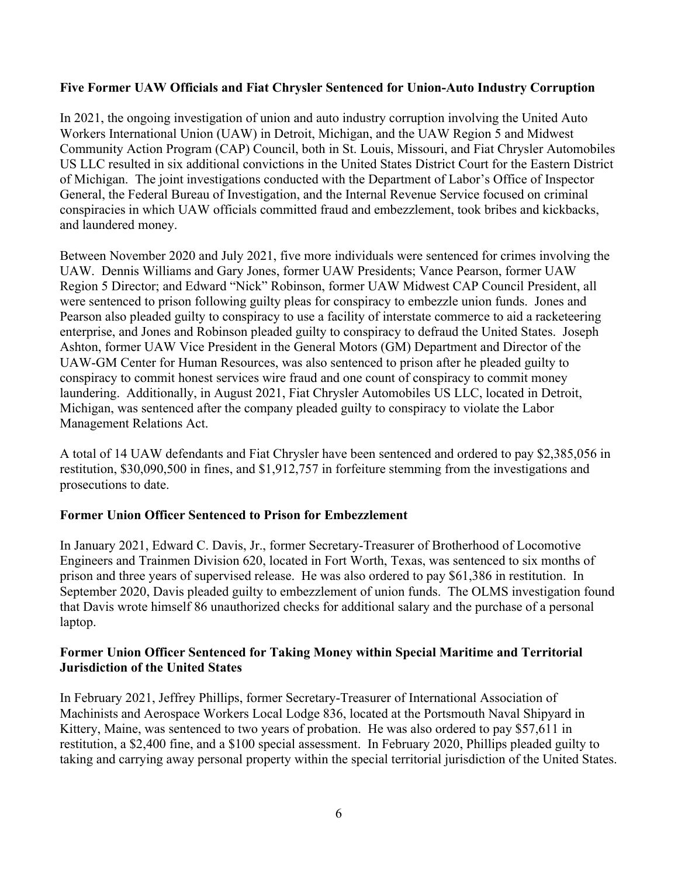# **Five Former UAW Officials and Fiat Chrysler Sentenced for Union-Auto Industry Corruption**

In 2021, the ongoing investigation of union and auto industry corruption involving the United Auto Workers International Union (UAW) in Detroit, Michigan, and the UAW Region 5 and Midwest Community Action Program (CAP) Council, both in St. Louis, Missouri, and Fiat Chrysler Automobiles US LLC resulted in six additional convictions in the United States District Court for the Eastern District of Michigan. The joint investigations conducted with the Department of Labor's Office of Inspector General, the Federal Bureau of Investigation, and the Internal Revenue Service focused on criminal conspiracies in which UAW officials committed fraud and embezzlement, took bribes and kickbacks, and laundered money.

Between November 2020 and July 2021, five more individuals were sentenced for crimes involving the UAW. Dennis Williams and Gary Jones, former UAW Presidents; Vance Pearson, former UAW Region 5 Director; and Edward "Nick" Robinson, former UAW Midwest CAP Council President, all were sentenced to prison following guilty pleas for conspiracy to embezzle union funds. Jones and Pearson also pleaded guilty to conspiracy to use a facility of interstate commerce to aid a racketeering enterprise, and Jones and Robinson pleaded guilty to conspiracy to defraud the United States. Joseph Ashton, former UAW Vice President in the General Motors (GM) Department and Director of the UAW-GM Center for Human Resources, was also sentenced to prison after he pleaded guilty to conspiracy to commit honest services wire fraud and one count of conspiracy to commit money laundering. Additionally, in August 2021, Fiat Chrysler Automobiles US LLC, located in Detroit, Michigan, was sentenced after the company pleaded guilty to conspiracy to violate the Labor Management Relations Act.

A total of 14 UAW defendants and Fiat Chrysler have been sentenced and ordered to pay \$2,385,056 in restitution, \$30,090,500 in fines, and \$1,912,757 in forfeiture stemming from the investigations and prosecutions to date.

#### **Former Union Officer Sentenced to Prison for Embezzlement**

In January 2021, Edward C. Davis, Jr., former Secretary-Treasurer of Brotherhood of Locomotive Engineers and Trainmen Division 620, located in Fort Worth, Texas, was sentenced to six months of prison and three years of supervised release. He was also ordered to pay \$61,386 in restitution. In September 2020, Davis pleaded guilty to embezzlement of union funds. The OLMS investigation found that Davis wrote himself 86 unauthorized checks for additional salary and the purchase of a personal laptop.

## **Former Union Officer Sentenced for Taking Money within Special Maritime and Territorial Jurisdiction of the United States**

In February 2021, Jeffrey Phillips, former Secretary-Treasurer of International Association of Machinists and Aerospace Workers Local Lodge 836, located at the Portsmouth Naval Shipyard in Kittery, Maine, was sentenced to two years of probation. He was also ordered to pay \$57,611 in restitution, a \$2,400 fine, and a \$100 special assessment. In February 2020, Phillips pleaded guilty to taking and carrying away personal property within the special territorial jurisdiction of the United States.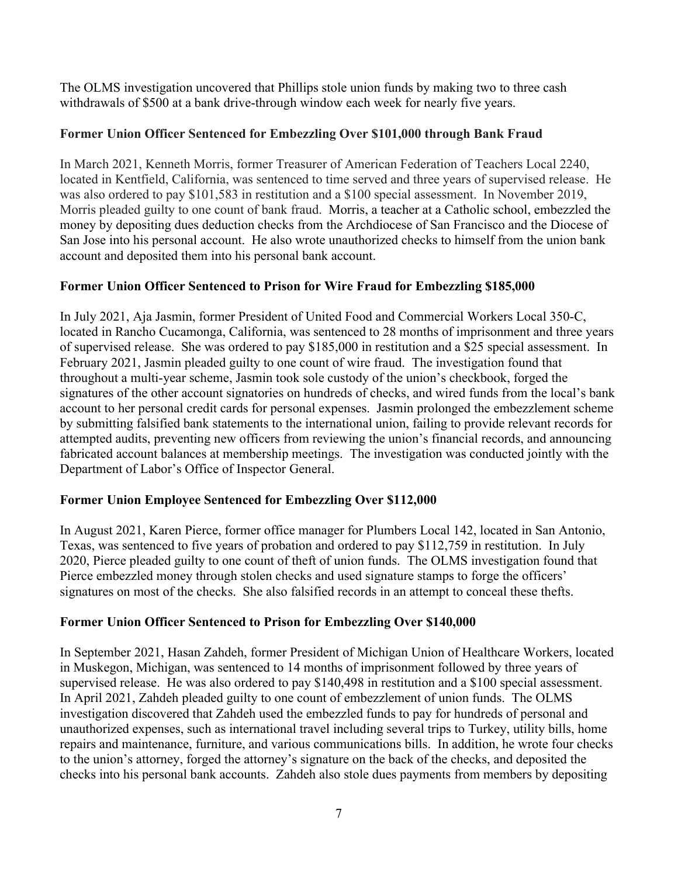The OLMS investigation uncovered that Phillips stole union funds by making two to three cash withdrawals of \$500 at a bank drive-through window each week for nearly five years.

# **Former Union Officer Sentenced for Embezzling Over \$101,000 through Bank Fraud**

In March 2021, Kenneth Morris, former Treasurer of American Federation of Teachers Local 2240, located in Kentfield, California, was sentenced to time served and three years of supervised release. He was also ordered to pay \$101,583 in restitution and a \$100 special assessment. In November 2019, Morris pleaded guilty to one count of bank fraud. Morris, a teacher at a Catholic school, embezzled the money by depositing dues deduction checks from the Archdiocese of San Francisco and the Diocese of San Jose into his personal account. He also wrote unauthorized checks to himself from the union bank account and deposited them into his personal bank account.

# **Former Union Officer Sentenced to Prison for Wire Fraud for Embezzling \$185,000**

In July 2021, Aja Jasmin, former President of United Food and Commercial Workers Local 350-C, located in Rancho Cucamonga, California, was sentenced to 28 months of imprisonment and three years of supervised release. She was ordered to pay \$185,000 in restitution and a \$25 special assessment. In February 2021, Jasmin pleaded guilty to one count of wire fraud. The investigation found that throughout a multi-year scheme, Jasmin took sole custody of the union's checkbook, forged the signatures of the other account signatories on hundreds of checks, and wired funds from the local's bank account to her personal credit cards for personal expenses. Jasmin prolonged the embezzlement scheme by submitting falsified bank statements to the international union, failing to provide relevant records for attempted audits, preventing new officers from reviewing the union's financial records, and announcing fabricated account balances at membership meetings. The investigation was conducted jointly with the Department of Labor's Office of Inspector General.

# **Former Union Employee Sentenced for Embezzling Over \$112,000**

In August 2021, Karen Pierce, former office manager for Plumbers Local 142, located in San Antonio, Texas, was sentenced to five years of probation and ordered to pay \$112,759 in restitution. In July 2020, Pierce pleaded guilty to one count of theft of union funds. The OLMS investigation found that Pierce embezzled money through stolen checks and used signature stamps to forge the officers' signatures on most of the checks. She also falsified records in an attempt to conceal these thefts.

# **Former Union Officer Sentenced to Prison for Embezzling Over \$140,000**

In September 2021, Hasan Zahdeh, former President of Michigan Union of Healthcare Workers, located in Muskegon, Michigan, was sentenced to 14 months of imprisonment followed by three years of supervised release. He was also ordered to pay \$140,498 in restitution and a \$100 special assessment. In April 2021, Zahdeh pleaded guilty to one count of embezzlement of union funds. The OLMS investigation discovered that Zahdeh used the embezzled funds to pay for hundreds of personal and unauthorized expenses, such as international travel including several trips to Turkey, utility bills, home repairs and maintenance, furniture, and various communications bills. In addition, he wrote four checks to the union's attorney, forged the attorney's signature on the back of the checks, and deposited the checks into his personal bank accounts. Zahdeh also stole dues payments from members by depositing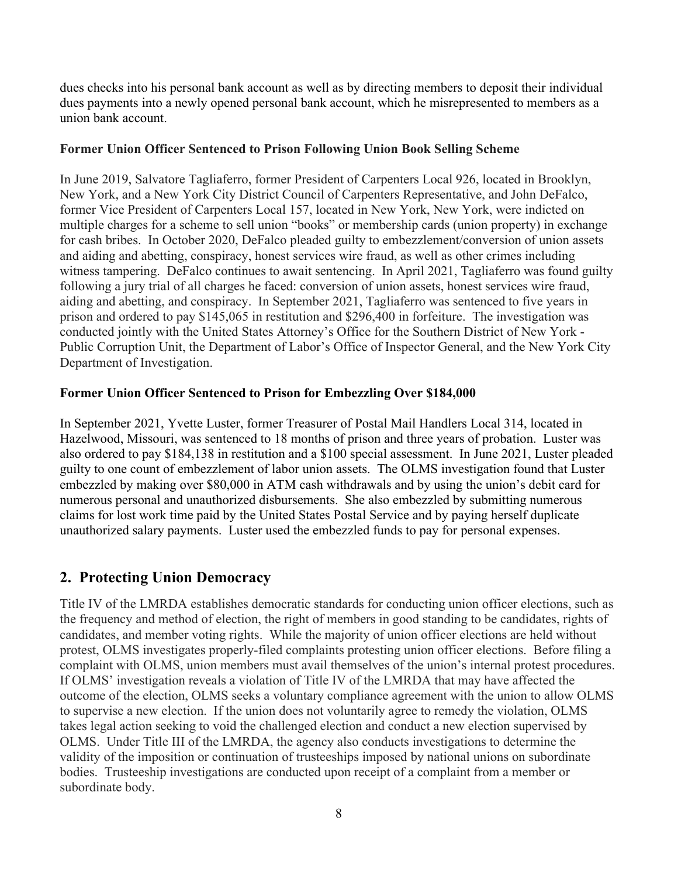dues checks into his personal bank account as well as by directing members to deposit their individual dues payments into a newly opened personal bank account, which he misrepresented to members as a union bank account.

# **Former Union Officer Sentenced to Prison Following Union Book Selling Scheme**

In June 2019, Salvatore Tagliaferro, former President of Carpenters Local 926, located in Brooklyn, New York, and a New York City District Council of Carpenters Representative, and John DeFalco, former Vice President of Carpenters Local 157, located in New York, New York, were indicted on multiple charges for a scheme to sell union "books" or membership cards (union property) in exchange for cash bribes. In October 2020, DeFalco pleaded guilty to embezzlement/conversion of union assets and aiding and abetting, conspiracy, honest services wire fraud, as well as other crimes including witness tampering. DeFalco continues to await sentencing. In April 2021, Tagliaferro was found guilty following a jury trial of all charges he faced: conversion of union assets, honest services wire fraud, aiding and abetting, and conspiracy. In September 2021, Tagliaferro was sentenced to five years in prison and ordered to pay \$145,065 in restitution and \$296,400 in forfeiture. The investigation was conducted jointly with the United States Attorney's Office for the Southern District of New York - Public Corruption Unit, the Department of Labor's Office of Inspector General, and the New York City Department of Investigation.

## **Former Union Officer Sentenced to Prison for Embezzling Over \$184,000**

In September 2021, Yvette Luster, former Treasurer of Postal Mail Handlers Local 314, located in Hazelwood, Missouri, was sentenced to 18 months of prison and three years of probation. Luster was also ordered to pay \$184,138 in restitution and a \$100 special assessment. In June 2021, Luster pleaded guilty to one count of embezzlement of labor union assets. The OLMS investigation found that Luster embezzled by making over \$80,000 in ATM cash withdrawals and by using the union's debit card for numerous personal and unauthorized disbursements. She also embezzled by submitting numerous claims for lost work time paid by the United States Postal Service and by paying herself duplicate unauthorized salary payments. Luster used the embezzled funds to pay for personal expenses.

# **2. Protecting Union Democracy**

Title IV of the LMRDA establishes democratic standards for conducting union officer elections, such as the frequency and method of election, the right of members in good standing to be candidates, rights of candidates, and member voting rights. While the majority of union officer elections are held without protest, OLMS investigates properly-filed complaints protesting union officer elections. Before filing a complaint with OLMS, union members must avail themselves of the union's internal protest procedures. If OLMS' investigation reveals a violation of Title IV of the LMRDA that may have affected the outcome of the election, OLMS seeks a voluntary compliance agreement with the union to allow OLMS to supervise a new election. If the union does not voluntarily agree to remedy the violation, OLMS takes legal action seeking to void the challenged election and conduct a new election supervised by OLMS. Under Title III of the LMRDA, the agency also conducts investigations to determine the validity of the imposition or continuation of trusteeships imposed by national unions on subordinate bodies. Trusteeship investigations are conducted upon receipt of a complaint from a member or subordinate body.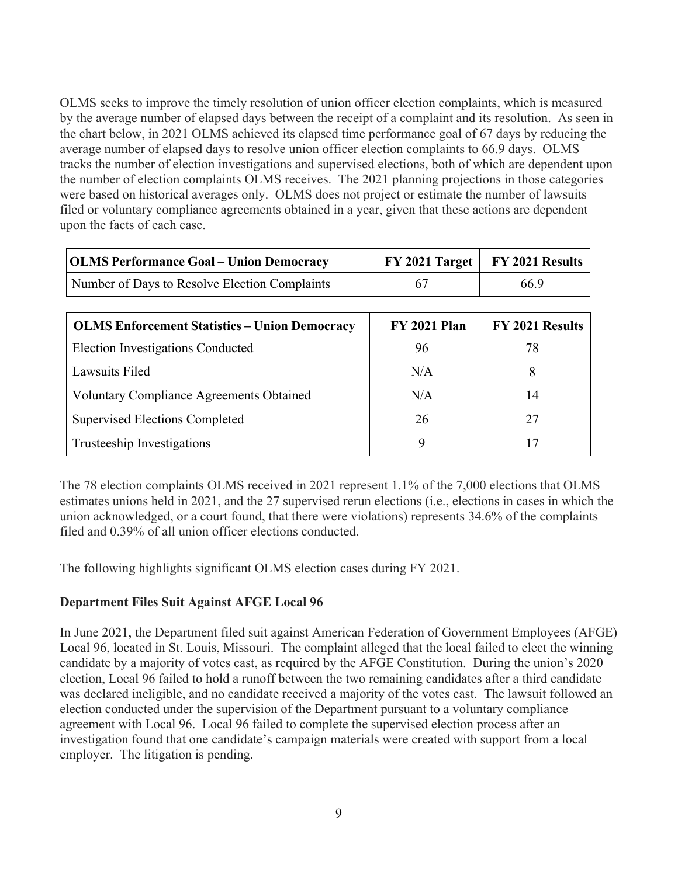OLMS seeks to improve the timely resolution of union officer election complaints, which is measured by the average number of elapsed days between the receipt of a complaint and its resolution. As seen in the chart below, in 2021 OLMS achieved its elapsed time performance goal of 67 days by reducing the average number of elapsed days to resolve union officer election complaints to 66.9 days. OLMS tracks the number of election investigations and supervised elections, both of which are dependent upon the number of election complaints OLMS receives. The 2021 planning projections in those categories were based on historical averages only. OLMS does not project or estimate the number of lawsuits filed or voluntary compliance agreements obtained in a year, given that these actions are dependent upon the facts of each case.

| OLMS Performance Goal – Union Democracy       | $FY$ 2021 Target   $FY$ 2021 Results |
|-----------------------------------------------|--------------------------------------|
| Number of Days to Resolve Election Complaints | 66.9                                 |

| <b>OLMS Enforcement Statistics - Union Democracy</b> | <b>FY 2021 Plan</b> | FY 2021 Results |
|------------------------------------------------------|---------------------|-----------------|
| <b>Election Investigations Conducted</b>             | 96                  | 78              |
| Lawsuits Filed                                       | N/A                 |                 |
| <b>Voluntary Compliance Agreements Obtained</b>      | N/A                 | 14              |
| <b>Supervised Elections Completed</b>                | 26                  | 27              |
| Trusteeship Investigations                           |                     |                 |

The 78 election complaints OLMS received in 2021 represent 1.1% of the 7,000 elections that OLMS estimates unions held in 2021, and the 27 supervised rerun elections (i.e., elections in cases in which the union acknowledged, or a court found, that there were violations) represents 34.6% of the complaints filed and 0.39% of all union officer elections conducted.

The following highlights significant OLMS election cases during FY 2021.

# **Department Files Suit Against AFGE Local 96**

In June 2021, the Department filed suit against American Federation of Government Employees (AFGE) Local 96, located in St. Louis, Missouri. The complaint alleged that the local failed to elect the winning candidate by a majority of votes cast, as required by the AFGE Constitution. During the union's 2020 election, Local 96 failed to hold a runoff between the two remaining candidates after a third candidate was declared ineligible, and no candidate received a majority of the votes cast. The lawsuit followed an election conducted under the supervision of the Department pursuant to a voluntary compliance agreement with Local 96. Local 96 failed to complete the supervised election process after an investigation found that one candidate's campaign materials were created with support from a local employer. The litigation is pending.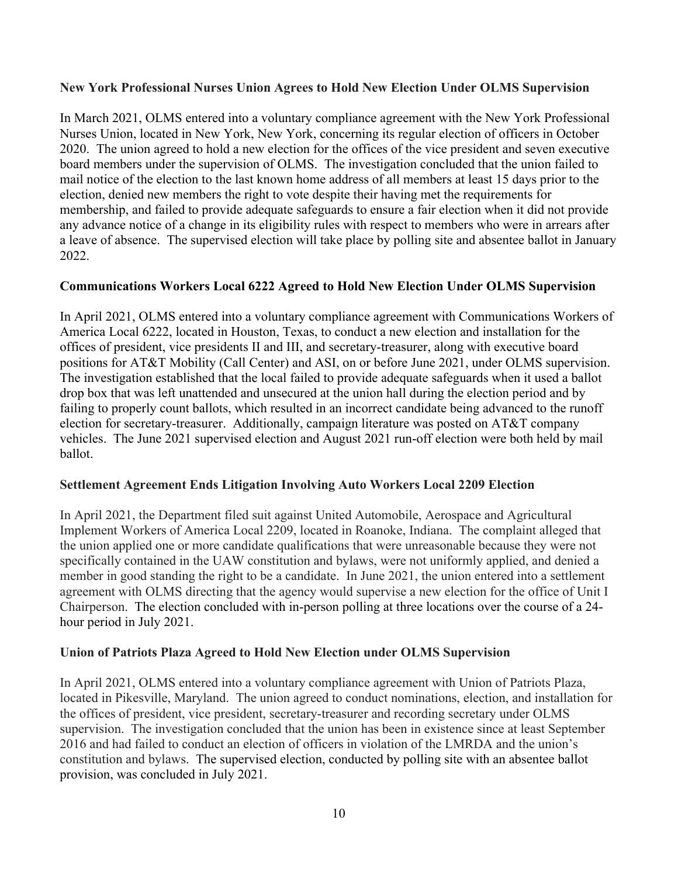## **New York Professional Nurses Union Agrees to Hold New Election Under OLMS Supervision**

In March 2021, OLMS entered into a voluntary compliance agreement with the New York Professional Nurses Union, located in New York, New York, concerning its regular election of officers in October 2020. The union agreed to hold a new election for the offices of the vice president and seven executive board members under the supervision of OLMS. The investigation concluded that the union failed to mail notice of the election to the last known home address of all members at least 15 days prior to the election, denied new members the right to vote despite their having met the requirements for membership, and failed to provide adequate safeguards to ensure a fair election when it did not provide any advance notice of a change in its eligibility rules with respect to members who were in arrears after a leave of absence. The supervised election will take place by polling site and absentee ballot in January 2022.

# **Communications Workers Local 6222 Agreed to Hold New Election Under OLMS Supervision**

In April 2021, OLMS entered into a voluntary compliance agreement with Communications Workers of America Local 6222, located in Houston, Texas, to conduct a new election and installation for the offices of president, vice presidents II and III, and secretary-treasurer, along with executive board positions for AT&T Mobility (Call Center) and ASI, on or before June 2021, under OLMS supervision. The investigation established that the local failed to provide adequate safeguards when it used a ballot drop box that was left unattended and unsecured at the union hall during the election period and by failing to properly count ballots, which resulted in an incorrect candidate being advanced to the runoff election for secretary-treasurer. Additionally, campaign literature was posted on AT&T company vehicles. The June 2021 supervised election and August 2021 run-off election were both held by mail ballot.

#### **Settlement Agreement Ends Litigation Involving Auto Workers Local 2209 Election**

In April 2021, the Department filed suit against United Automobile, Aerospace and Agricultural Implement Workers of America Local 2209, located in Roanoke, Indiana. The complaint alleged that the union applied one or more candidate qualifications that were unreasonable because they were not specifically contained in the UAW constitution and bylaws, were not uniformly applied, and denied a member in good standing the right to be a candidate. In June 2021, the union entered into a settlement agreement with OLMS directing that the agency would supervise a new election for the office of Unit I Chairperson. The election concluded with in-person polling at three locations over the course of a 24 hour period in July 2021.

#### **Union of Patriots Plaza Agreed to Hold New Election under OLMS Supervision**

In April 2021, OLMS entered into a voluntary compliance agreement with Union of Patriots Plaza, located in Pikesville, Maryland. The union agreed to conduct nominations, election, and installation for the offices of president, vice president, secretary-treasurer and recording secretary under OLMS supervision. The investigation concluded that the union has been in existence since at least September 2016 and had failed to conduct an election of officers in violation of the LMRDA and the union's constitution and bylaws. The supervised election, conducted by polling site with an absentee ballot provision, was concluded in July 2021.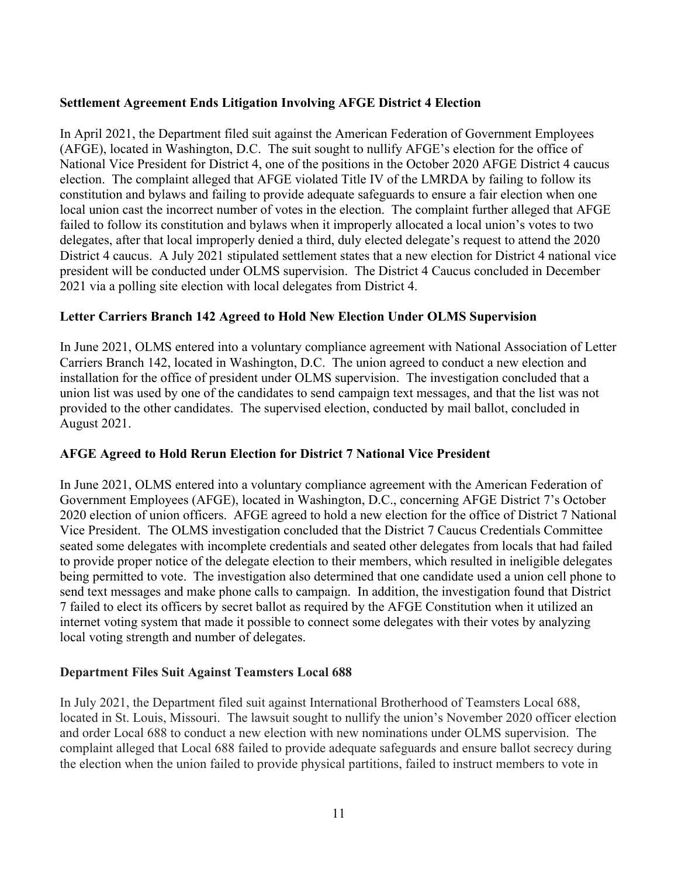# **Settlement Agreement Ends Litigation Involving AFGE District 4 Election**

In April 2021, the Department filed suit against the American Federation of Government Employees (AFGE), located in Washington, D.C. The suit sought to nullify AFGE's election for the office of National Vice President for District 4, one of the positions in the October 2020 AFGE District 4 caucus election. The complaint alleged that AFGE violated Title IV of the LMRDA by failing to follow its constitution and bylaws and failing to provide adequate safeguards to ensure a fair election when one local union cast the incorrect number of votes in the election. The complaint further alleged that AFGE failed to follow its constitution and bylaws when it improperly allocated a local union's votes to two delegates, after that local improperly denied a third, duly elected delegate's request to attend the 2020 District 4 caucus. A July 2021 stipulated settlement states that a new election for District 4 national vice president will be conducted under OLMS supervision. The District 4 Caucus concluded in December 2021 via a polling site election with local delegates from District 4.

# **Letter Carriers Branch 142 Agreed to Hold New Election Under OLMS Supervision**

In June 2021, OLMS entered into a voluntary compliance agreement with National Association of Letter Carriers Branch 142, located in Washington, D.C. The union agreed to conduct a new election and installation for the office of president under OLMS supervision. The investigation concluded that a union list was used by one of the candidates to send campaign text messages, and that the list was not provided to the other candidates. The supervised election, conducted by mail ballot, concluded in August 2021.

# **AFGE Agreed to Hold Rerun Election for District 7 National Vice President**

In June 2021, OLMS entered into a voluntary compliance agreement with the American Federation of Government Employees (AFGE), located in Washington, D.C., concerning AFGE District 7's October 2020 election of union officers. AFGE agreed to hold a new election for the office of District 7 National Vice President. The OLMS investigation concluded that the District 7 Caucus Credentials Committee seated some delegates with incomplete credentials and seated other delegates from locals that had failed to provide proper notice of the delegate election to their members, which resulted in ineligible delegates being permitted to vote. The investigation also determined that one candidate used a union cell phone to send text messages and make phone calls to campaign. In addition, the investigation found that District 7 failed to elect its officers by secret ballot as required by the AFGE Constitution when it utilized an internet voting system that made it possible to connect some delegates with their votes by analyzing local voting strength and number of delegates.

# **Department Files Suit Against Teamsters Local 688**

In July 2021, the Department filed suit against International Brotherhood of Teamsters Local 688, located in St. Louis, Missouri. The lawsuit sought to nullify the union's November 2020 officer election and order Local 688 to conduct a new election with new nominations under OLMS supervision. The complaint alleged that Local 688 failed to provide adequate safeguards and ensure ballot secrecy during the election when the union failed to provide physical partitions, failed to instruct members to vote in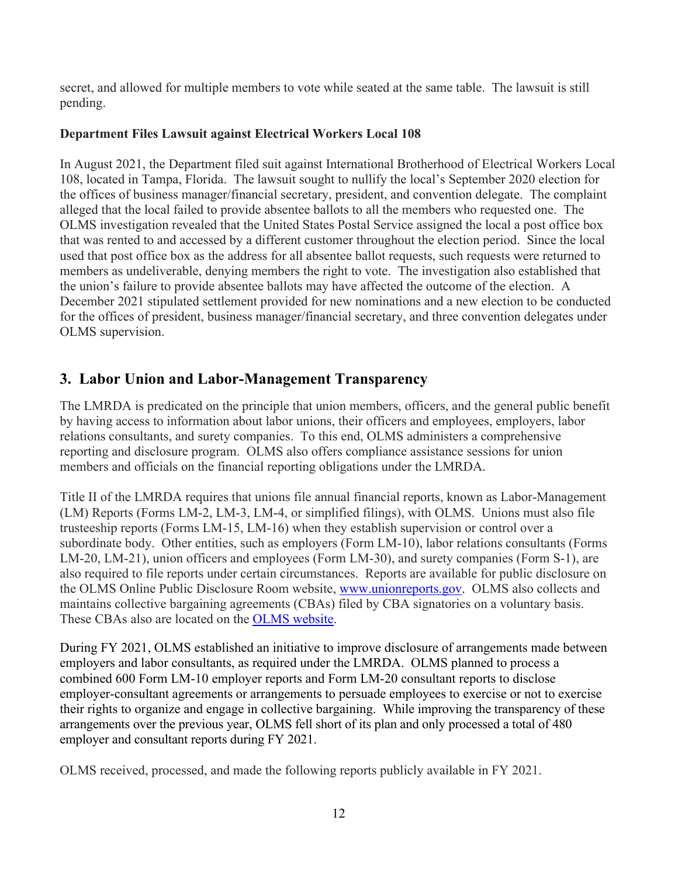secret, and allowed for multiple members to vote while seated at the same table. The lawsuit is still pending.

# **Department Files Lawsuit against Electrical Workers Local 108**

In August 2021, the Department filed suit against International Brotherhood of Electrical Workers Local 108, located in Tampa, Florida. The lawsuit sought to nullify the local's September 2020 election for the offices of business manager/financial secretary, president, and convention delegate. The complaint alleged that the local failed to provide absentee ballots to all the members who requested one. The OLMS investigation revealed that the United States Postal Service assigned the local a post office box that was rented to and accessed by a different customer throughout the election period. Since the local used that post office box as the address for all absentee ballot requests, such requests were returned to members as undeliverable, denying members the right to vote. The investigation also established that the union's failure to provide absentee ballots may have affected the outcome of the election. A December 2021 stipulated settlement provided for new nominations and a new election to be conducted for the offices of president, business manager/financial secretary, and three convention delegates under OLMS supervision.

# **3. Labor Union and Labor-Management Transparency**

The LMRDA is predicated on the principle that union members, officers, and the general public benefit by having access to information about labor unions, their officers and employees, employers, labor relations consultants, and surety companies. To this end, OLMS administers a comprehensive reporting and disclosure program. OLMS also offers compliance assistance sessions for union members and officials on the financial reporting obligations under the LMRDA.

Title II of the LMRDA requires that unions file annual financial reports, known as Labor-Management (LM) Reports (Forms LM-2, LM-3, LM-4, or simplified filings), with OLMS. Unions must also file trusteeship reports (Forms LM-15, LM-16) when they establish supervision or control over a subordinate body. Other entities, such as employers (Form LM-10), labor relations consultants (Forms LM-20, LM-21), union officers and employees (Form LM-30), and surety companies (Form S-1), are also required to file reports under certain circumstances. Reports are available for public disclosure on the OLMS Online Public Disclosure Room website, [www.unionreports.gov.](http://www.unionreports.gov/) OLMS also collects and maintains collective bargaining agreements (CBAs) filed by CBA signatories on a voluntary basis. These CBAs also are located on the [OLMS website.](http://www.dol.gov/olms/regs/compliance/cba/index.htm)

During FY 2021, OLMS established an initiative to improve disclosure of arrangements made between employers and labor consultants, as required under the LMRDA. OLMS planned to process a combined 600 Form LM-10 employer reports and Form LM-20 consultant reports to disclose employer-consultant agreements or arrangements to persuade employees to exercise or not to exercise their rights to organize and engage in collective bargaining. While improving the transparency of these arrangements over the previous year, OLMS fell short of its plan and only processed a total of 480 employer and consultant reports during FY 2021.

OLMS received, processed, and made the following reports publicly available in FY 2021.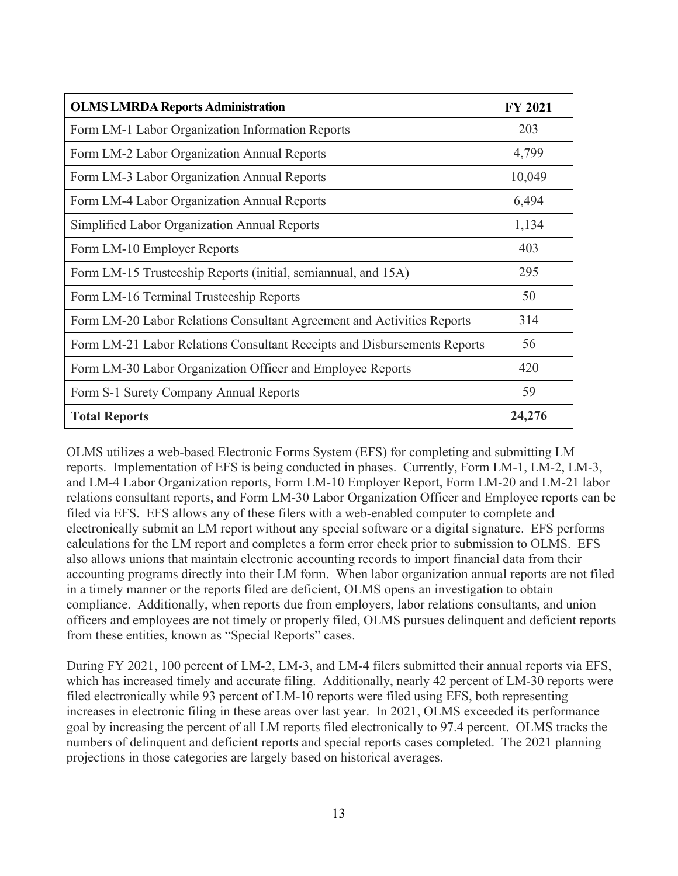| <b>OLMS LMRDA Reports Administration</b>                                 | <b>FY 2021</b> |
|--------------------------------------------------------------------------|----------------|
| Form LM-1 Labor Organization Information Reports                         | 203            |
| Form LM-2 Labor Organization Annual Reports                              | 4,799          |
| Form LM-3 Labor Organization Annual Reports                              | 10,049         |
| Form LM-4 Labor Organization Annual Reports                              | 6,494          |
| Simplified Labor Organization Annual Reports                             | 1,134          |
| Form LM-10 Employer Reports                                              | 403            |
| Form LM-15 Trusteeship Reports (initial, semiannual, and 15A)            | 295            |
| Form LM-16 Terminal Trusteeship Reports                                  | 50             |
| Form LM-20 Labor Relations Consultant Agreement and Activities Reports   | 314            |
| Form LM-21 Labor Relations Consultant Receipts and Disbursements Reports | 56             |
| Form LM-30 Labor Organization Officer and Employee Reports               | 420            |
| Form S-1 Surety Company Annual Reports                                   | 59             |
| <b>Total Reports</b>                                                     | 24,276         |

OLMS utilizes a web-based Electronic Forms System (EFS) for completing and submitting LM reports. Implementation of EFS is being conducted in phases. Currently, Form LM-1, LM-2, LM-3, and LM-4 Labor Organization reports, Form LM-10 Employer Report, Form LM-20 and LM-21 labor relations consultant reports, and Form LM-30 Labor Organization Officer and Employee reports can be filed via EFS. EFS allows any of these filers with a web-enabled computer to complete and electronically submit an LM report without any special software or a digital signature. EFS performs calculations for the LM report and completes a form error check prior to submission to OLMS. EFS also allows unions that maintain electronic accounting records to import financial data from their accounting programs directly into their LM form. When labor organization annual reports are not filed in a timely manner or the reports filed are deficient, OLMS opens an investigation to obtain compliance. Additionally, when reports due from employers, labor relations consultants, and union officers and employees are not timely or properly filed, OLMS pursues delinquent and deficient reports from these entities, known as "Special Reports" cases.

During FY 2021, 100 percent of LM-2, LM-3, and LM-4 filers submitted their annual reports via EFS, which has increased timely and accurate filing. Additionally, nearly 42 percent of LM-30 reports were filed electronically while 93 percent of LM-10 reports were filed using EFS, both representing increases in electronic filing in these areas over last year. In 2021, OLMS exceeded its performance goal by increasing the percent of all LM reports filed electronically to 97.4 percent. OLMS tracks the numbers of delinquent and deficient reports and special reports cases completed. The 2021 planning projections in those categories are largely based on historical averages.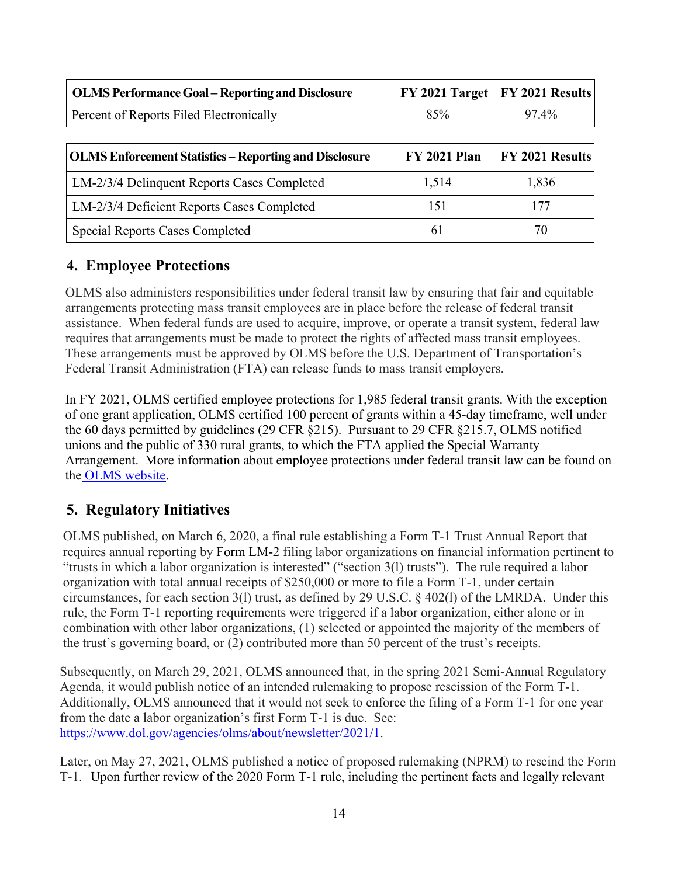| OLMS Performance Goal – Reporting and Disclosure |     | FY 2021 Target   FY 2021 Results |
|--------------------------------------------------|-----|----------------------------------|
| Percent of Reports Filed Electronically          | 85% | $97.4\%$                         |

| <b>OLMS Enforcement Statistics – Reporting and Disclosure</b> | <b>FY 2021 Plan</b> | <b>FY 2021 Results</b> |
|---------------------------------------------------------------|---------------------|------------------------|
| LM-2/3/4 Delinquent Reports Cases Completed                   | 1,514               | 1,836                  |
| LM-2/3/4 Deficient Reports Cases Completed                    | 151                 |                        |
| <b>Special Reports Cases Completed</b>                        | 6 I                 | 70.                    |

# **4. Employee Protections**

OLMS also administers responsibilities under federal transit law by ensuring that fair and equitable arrangements protecting mass transit employees are in place before the release of federal transit assistance. When federal funds are used to acquire, improve, or operate a transit system, federal law requires that arrangements must be made to protect the rights of affected mass transit employees. These arrangements must be approved by OLMS before the U.S. Department of Transportation's Federal Transit Administration (FTA) can release funds to mass transit employers.

In FY 2021, OLMS certified employee protections for 1,985 federal transit grants. With the exception of one grant application, OLMS certified 100 percent of grants within a 45-day timeframe, well under the 60 days permitted by guidelines (29 CFR §215). Pursuant to 29 CFR §215.7, OLMS notified unions and the public of 330 rural grants, to which the FTA applied the Special Warranty Arrangement. More information about employee protections under federal transit law can be found on the [OLMS website.](http://www.dol.gov/olms/regs/compliance/compltransit.htm)

# **5. Regulatory Initiatives**

OLMS published, on March 6, 2020, a final rule establishing a Form T-1 Trust Annual Report that requires annual reporting by [Form LM-2](https://www.dol.gov/agencies/olms/reports/forms/lm-2-lm-3-lm-4) filing labor organizations on financial information pertinent to "trusts in which a labor organization is interested" ("section 3(l) trusts"). The rule required a labor organization with total annual receipts of \$250,000 or more to file a Form T-1, under certain circumstances, for each section 3(l) trust, as defined by 29 U.S.C. § 402(l) of the LMRDA. Under this rule, the Form T-1 reporting requirements were triggered if a labor organization, either alone or in combination with other labor organizations, (1) selected or appointed the majority of the members of the trust's governing board, or (2) contributed more than 50 percent of the trust's receipts.

Subsequently, on March 29, 2021, OLMS announced that, in the spring 2021 Semi-Annual Regulatory Agenda, it would publish notice of an intended rulemaking to propose rescission of the Form T-1. Additionally, OLMS announced that it would not seek to enforce the filing of a Form T-1 for one year from the date a labor organization's first Form T-1 is due. See: [https://www.dol.gov/agencies/olms/about/newsletter/2021/1.](https://www.dol.gov/agencies/olms/about/newsletter/2021/1)

Later, on May 27, 2021, OLMS published a notice of proposed rulemaking (NPRM) to rescind the Form T-1. Upon further review of the 2020 Form T-1 rule, including the pertinent facts and legally relevant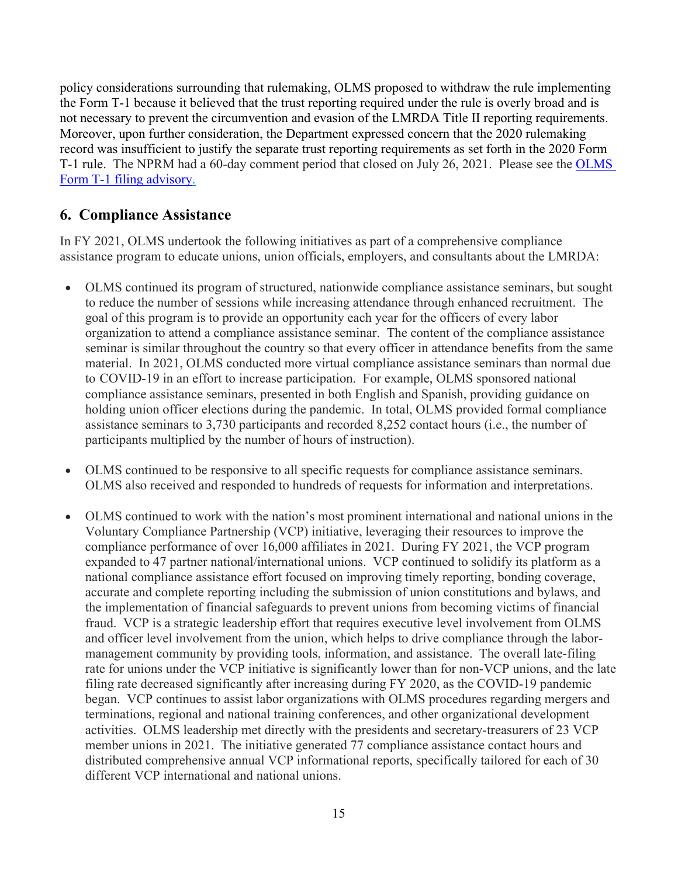policy considerations surrounding that rulemaking, OLMS proposed to withdraw the rule implementing the Form T-1 because it believed that the trust reporting required under the rule is overly broad and is not necessary to prevent the circumvention and evasion of the LMRDA Title II reporting requirements. Moreover, upon further consideration, the Department expressed concern that the 2020 rulemaking record was insufficient to justify the separate trust reporting requirements as set forth in the 2020 Form T-1 rule. The NPRM had a 60-day comment period that closed on July 26, 2021. Please see the OLMS [Form T-1 filing advisory.](https://www.dol.gov/agencies/olms/about/newsletter/2021/1) 

# **6. Compliance Assistance**

In FY 2021, OLMS undertook the following initiatives as part of a comprehensive compliance assistance program to educate unions, union officials, employers, and consultants about the LMRDA:

- OLMS continued its program of structured, nationwide compliance assistance seminars, but sought to reduce the number of sessions while increasing attendance through enhanced recruitment. The goal of this program is to provide an opportunity each year for the officers of every labor organization to attend a compliance assistance seminar. The content of the compliance assistance seminar is similar throughout the country so that every officer in attendance benefits from the same material. In 2021, OLMS conducted more virtual compliance assistance seminars than normal due to COVID-19 in an effort to increase participation. For example, OLMS sponsored national compliance assistance seminars, presented in both English and Spanish, providing guidance on holding union officer elections during the pandemic. In total, OLMS provided formal compliance assistance seminars to 3,730 participants and recorded 8,252 contact hours (i.e., the number of participants multiplied by the number of hours of instruction).
- OLMS continued to be responsive to all specific requests for compliance assistance seminars. OLMS also received and responded to hundreds of requests for information and interpretations.
- OLMS continued to work with the nation's most prominent international and national unions in the Voluntary Compliance Partnership (VCP) initiative, leveraging their resources to improve the compliance performance of over 16,000 affiliates in 2021. During FY 2021, the VCP program expanded to 47 partner national/international unions. VCP continued to solidify its platform as a national compliance assistance effort focused on improving timely reporting, bonding coverage, accurate and complete reporting including the submission of union constitutions and bylaws, and the implementation of financial safeguards to prevent unions from becoming victims of financial fraud. VCP is a strategic leadership effort that requires executive level involvement from OLMS and officer level involvement from the union, which helps to drive compliance through the labormanagement community by providing tools, information, and assistance. The overall late-filing rate for unions under the VCP initiative is significantly lower than for non-VCP unions, and the late filing rate decreased significantly after increasing during FY 2020, as the COVID-19 pandemic began. VCP continues to assist labor organizations with OLMS procedures regarding mergers and terminations, regional and national training conferences, and other organizational development activities. OLMS leadership met directly with the presidents and secretary-treasurers of 23 VCP member unions in 2021. The initiative generated 77 compliance assistance contact hours and distributed comprehensive annual VCP informational reports, specifically tailored for each of 30 different VCP international and national unions.